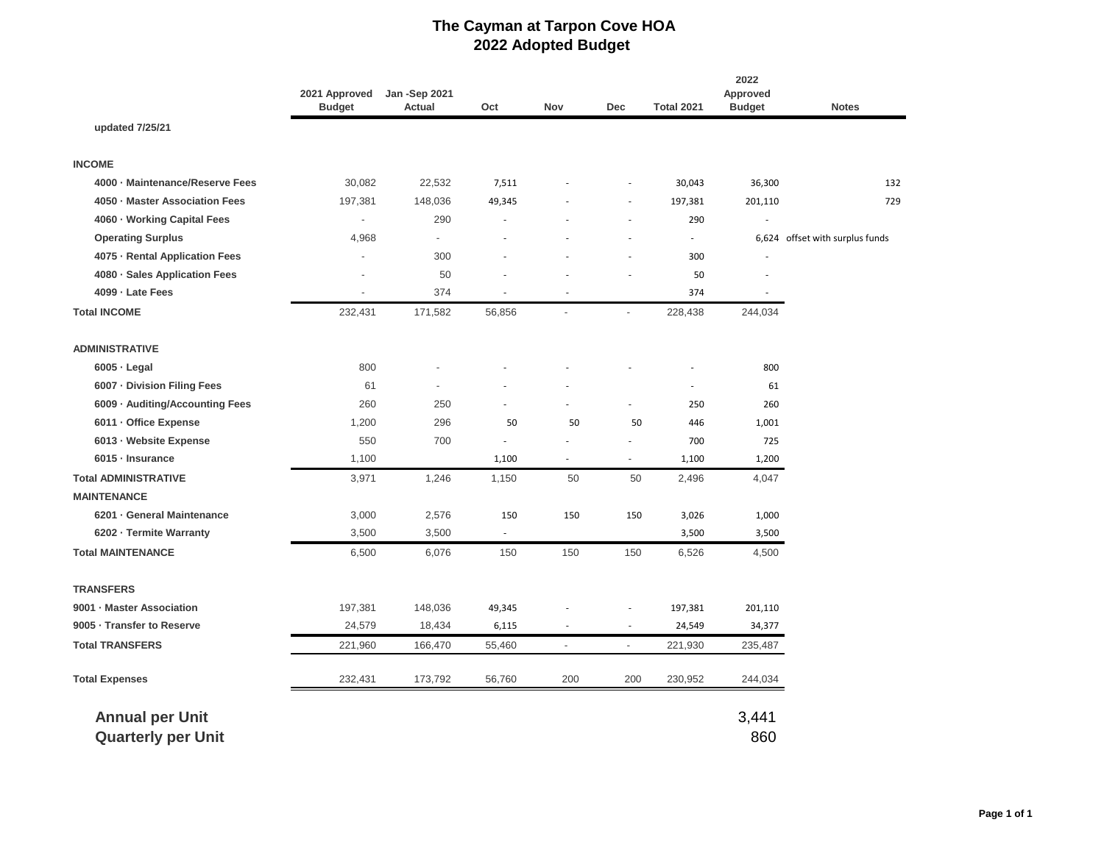## **The Cayman at Tarpon Cove HOA 2022 Adopted Budget**

|                                 | 2021 Approved<br><b>Budget</b> | <b>Jan -Sep 2021</b><br>Actual | Oct                      | Nov                      | Dec                      | <b>Total 2021</b>        | 2022<br>Approved<br><b>Budget</b> | <b>Notes</b>                    |
|---------------------------------|--------------------------------|--------------------------------|--------------------------|--------------------------|--------------------------|--------------------------|-----------------------------------|---------------------------------|
| updated 7/25/21                 |                                |                                |                          |                          |                          |                          |                                   |                                 |
| <b>INCOME</b>                   |                                |                                |                          |                          |                          |                          |                                   |                                 |
| 4000 · Maintenance/Reserve Fees | 30,082                         | 22,532                         | 7,511                    |                          |                          | 30,043                   | 36,300                            | 132                             |
| 4050 · Master Association Fees  | 197,381                        | 148,036                        | 49,345                   |                          | $\frac{1}{2}$            | 197,381                  | 201,110                           | 729                             |
| 4060 · Working Capital Fees     | $\overline{a}$                 | 290                            |                          |                          | ٠                        | 290                      |                                   |                                 |
| <b>Operating Surplus</b>        | 4,968                          | $\overline{\phantom{a}}$       |                          |                          | ٠                        | $\overline{\phantom{a}}$ |                                   | 6,624 offset with surplus funds |
| 4075 · Rental Application Fees  | $\overline{a}$                 | 300                            |                          |                          | ٠                        | 300                      |                                   |                                 |
| 4080 · Sales Application Fees   | $\overline{a}$                 | 50                             |                          |                          |                          | 50                       |                                   |                                 |
| 4099 - Late Fees                | $\overline{\phantom{a}}$       | 374                            | ٠                        | $\sim$                   |                          | 374                      | $\sim$                            |                                 |
| <b>Total INCOME</b>             | 232,431                        | 171,582                        | 56,856                   | $\overline{a}$           | $\overline{\phantom{a}}$ | 228,438                  | 244,034                           |                                 |
| <b>ADMINISTRATIVE</b>           |                                |                                |                          |                          |                          |                          |                                   |                                 |
| $6005 -$ Legal                  | 800                            |                                |                          |                          |                          |                          | 800                               |                                 |
| 6007 Division Filing Fees       | 61                             |                                |                          |                          |                          |                          | 61                                |                                 |
| 6009 · Auditing/Accounting Fees | 260                            | 250                            |                          |                          | $\frac{1}{2}$            | 250                      | 260                               |                                 |
| 6011 - Office Expense           | 1,200                          | 296                            | 50                       | 50                       | 50                       | 446                      | 1,001                             |                                 |
| 6013 · Website Expense          | 550                            | 700                            | ٠                        |                          |                          | 700                      | 725                               |                                 |
| 6015 - Insurance                | 1,100                          |                                | 1,100                    | ÷.                       | ÷.                       | 1,100                    | 1,200                             |                                 |
| <b>Total ADMINISTRATIVE</b>     | 3,971                          | 1,246                          | 1,150                    | 50                       | 50                       | 2,496                    | 4,047                             |                                 |
| <b>MAINTENANCE</b>              |                                |                                |                          |                          |                          |                          |                                   |                                 |
| 6201 General Maintenance        | 3,000                          | 2,576                          | 150                      | 150                      | 150                      | 3,026                    | 1,000                             |                                 |
| 6202 · Termite Warranty         | 3,500                          | 3,500                          | $\overline{\phantom{a}}$ |                          |                          | 3,500                    | 3,500                             |                                 |
| <b>Total MAINTENANCE</b>        | 6,500                          | 6,076                          | 150                      | 150                      | 150                      | 6,526                    | 4,500                             |                                 |
| <b>TRANSFERS</b>                |                                |                                |                          |                          |                          |                          |                                   |                                 |
| 9001 · Master Association       | 197,381                        | 148,036                        | 49,345                   |                          |                          | 197,381                  | 201,110                           |                                 |
| 9005 · Transfer to Reserve      | 24,579                         | 18,434                         | 6,115                    |                          | ä,                       | 24,549                   | 34,377                            |                                 |
| <b>Total TRANSFERS</b>          | 221,960                        | 166,470                        | 55,460                   | $\overline{\phantom{a}}$ | $\overline{\phantom{a}}$ | 221,930                  | 235,487                           |                                 |
| <b>Total Expenses</b>           | 232,431                        | 173,792                        | 56,760                   | 200                      | 200                      | 230,952                  | 244,034                           |                                 |
| <b>Annual per Unit</b>          |                                |                                |                          |                          |                          |                          | 3,441                             |                                 |
| <b>Quarterly per Unit</b>       |                                |                                |                          |                          |                          |                          | 860                               |                                 |